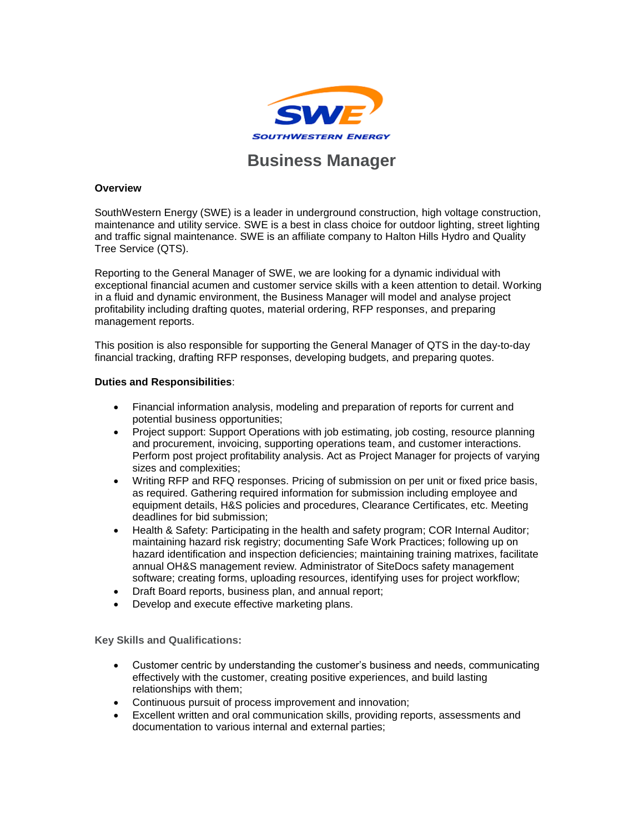

## **Overview**

SouthWestern Energy (SWE) is a leader in underground construction, high voltage construction, maintenance and utility service. SWE is a best in class choice for outdoor lighting, street lighting and traffic signal maintenance. SWE is an affiliate company to Halton Hills Hydro and Quality Tree Service (QTS).

Reporting to the General Manager of SWE, we are looking for a dynamic individual with exceptional financial acumen and customer service skills with a keen attention to detail. Working in a fluid and dynamic environment, the Business Manager will model and analyse project profitability including drafting quotes, material ordering, RFP responses, and preparing management reports.

This position is also responsible for supporting the General Manager of QTS in the day-to-day financial tracking, drafting RFP responses, developing budgets, and preparing quotes.

## **Duties and Responsibilities**:

- Financial information analysis, modeling and preparation of reports for current and potential business opportunities;
- Project support: Support Operations with job estimating, job costing, resource planning and procurement, invoicing, supporting operations team, and customer interactions. Perform post project profitability analysis. Act as Project Manager for projects of varying sizes and complexities;
- Writing RFP and RFQ responses. Pricing of submission on per unit or fixed price basis, as required. Gathering required information for submission including employee and equipment details, H&S policies and procedures, Clearance Certificates, etc. Meeting deadlines for bid submission;
- Health & Safety: Participating in the health and safety program; COR Internal Auditor; maintaining hazard risk registry; documenting Safe Work Practices; following up on hazard identification and inspection deficiencies; maintaining training matrixes, facilitate annual OH&S management review. Administrator of SiteDocs safety management software; creating forms, uploading resources, identifying uses for project workflow;
- Draft Board reports, business plan, and annual report;
- Develop and execute effective marketing plans.

**Key Skills and Qualifications:**

- Customer centric by understanding the customer's business and needs, communicating effectively with the customer, creating positive experiences, and build lasting relationships with them;
- Continuous pursuit of process improvement and innovation;
- Excellent written and oral communication skills, providing reports, assessments and documentation to various internal and external parties;